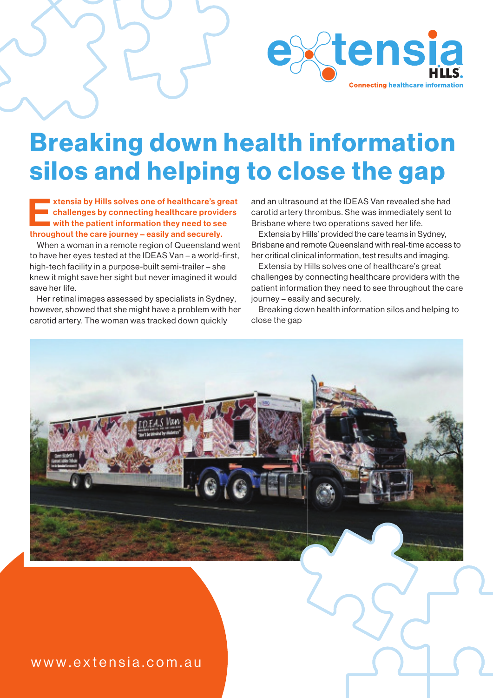

## Breaking down health information silos and helping to close the gap

xtensia by Hills solves one of healthcare's great<br>
challenges by connecting healthcare providers<br>
with the patient information they need to see<br>
throughout the care journey – assily and securely challenges by connecting healthcare providers with the patient information they need to see throughout the care journey – easily and securely.

When a woman in a remote region of Queensland went to have her eyes tested at the IDEAS Van – a world-first, high-tech facility in a purpose-built semi-trailer – she knew it might save her sight but never imagined it would save her life.

Her retinal images assessed by specialists in Sydney, however, showed that she might have a problem with her carotid artery. The woman was tracked down quickly

and an ultrasound at the IDEAS Van revealed she had carotid artery thrombus. She was immediately sent to Brisbane where two operations saved her life.

Extensia by Hills' provided the care teams in Sydney, Brisbane and remote Queensland with real-time access to her critical clinical information, test results and imaging.

Extensia by Hills solves one of healthcare's great challenges by connecting healthcare providers with the patient information they need to see throughout the care journey – easily and securely.

Breaking down health information silos and helping to close the gap